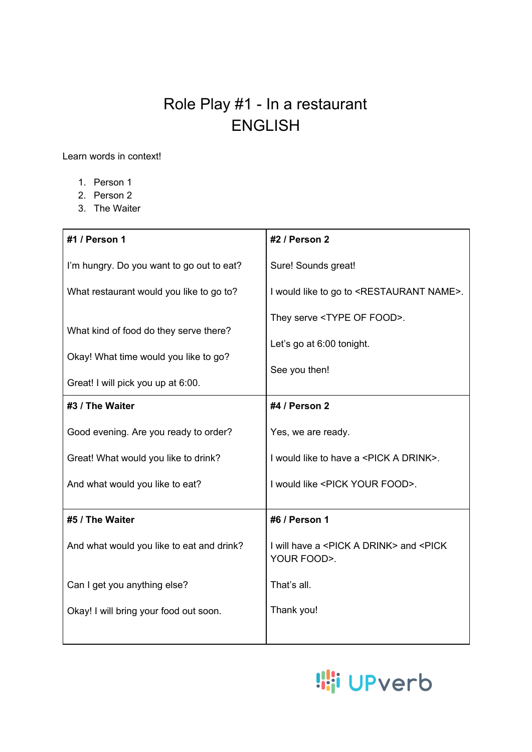## Role Play #1 - In a restaurant ENGLISH

Learn words in context!

- 1. Person 1
- 2. Person 2
- 3. The Waiter

| #1 / Person 1                             | #2 / Person 2                                                                   |
|-------------------------------------------|---------------------------------------------------------------------------------|
| I'm hungry. Do you want to go out to eat? | Sure! Sounds great!                                                             |
| What restaurant would you like to go to?  | I would like to go to <restaurant name="">.</restaurant>                        |
| What kind of food do they serve there?    | They serve <type food="" of="">.</type>                                         |
|                                           | Let's go at 6:00 tonight.                                                       |
| Okay! What time would you like to go?     | See you then!                                                                   |
| Great! I will pick you up at 6:00.        |                                                                                 |
| #3 / The Waiter                           | #4 / Person 2                                                                   |
| Good evening. Are you ready to order?     | Yes, we are ready.                                                              |
| Great! What would you like to drink?      | I would like to have a <pick a="" drink="">.</pick>                             |
| And what would you like to eat?           | I would like <pick food="" your="">.</pick>                                     |
|                                           |                                                                                 |
| #5 / The Waiter                           | #6 / Person 1                                                                   |
| And what would you like to eat and drink? | I will have a <pick a="" drink=""> and <pick<br>YOUR FOOD&gt;.</pick<br></pick> |
| Can I get you anything else?              | That's all.                                                                     |
| Okay! I will bring your food out soon.    | Thank you!                                                                      |
|                                           |                                                                                 |